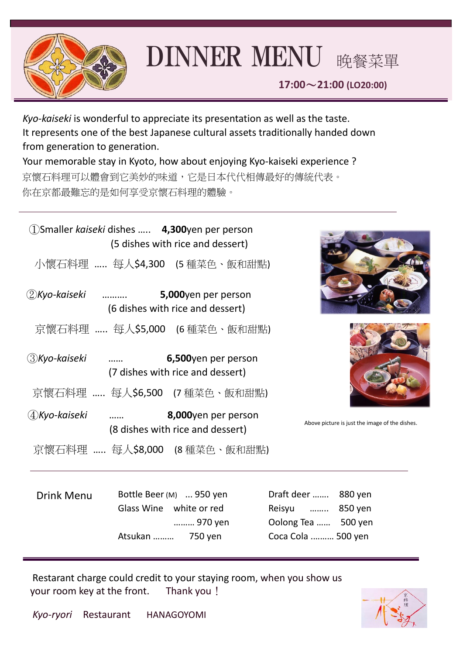

## DINNER MENU 晚餐菜單

**17:00**~**21:00 (LO20:00)**

*Kyo-kaiseki* is wonderful to appreciate its presentation as well as the taste. It represents one of the best Japanese cultural assets traditionally handed down from generation to generation. Your memorable stay in Kyoto, how about enjoying Kyo-kaiseki experience ?

京懷石料理可以體會到它美妙的味道,它是日本代代相傳最好的傳統代表。 你在京都最難忘的是如何享受京懷石料理的體驗。

| (1) Smaller kaiseki dishes  4,300 yen per person<br>(5 dishes with rice and dessert) |                                             |                                                         |                                                                                     |                                                |
|--------------------------------------------------------------------------------------|---------------------------------------------|---------------------------------------------------------|-------------------------------------------------------------------------------------|------------------------------------------------|
|                                                                                      |                                             | 小懷石料理  每人\$4,300 (5 種菜色、飯和甜點)                           |                                                                                     |                                                |
| (2) Kyo-kaiseki ……….                                                                 |                                             | 5,000yen per person<br>(6 dishes with rice and dessert) |                                                                                     |                                                |
|                                                                                      |                                             | 京懷石料理  每人\$5,000 (6 種菜色、飯和甜點)                           |                                                                                     |                                                |
| (3) Kyo-kaiseki<br>6,500yen per person<br>(7 dishes with rice and dessert)           |                                             |                                                         |                                                                                     |                                                |
|                                                                                      |                                             | 京懷石料理  每人\$6,500 (7 種菜色、飯和甜點)                           |                                                                                     |                                                |
| $\mathcal{A}$ Kyo-kaiseki                                                            | $\mathbf{r} = \mathbf{r} \cdot \mathbf{r}$  | 8,000yen per person<br>(8 dishes with rice and dessert) |                                                                                     | Above picture is just the image of the dishes. |
|                                                                                      |                                             | 京懷石料理  每人\$8,000 (8 種菜色、飯和甜點)                           |                                                                                     |                                                |
| <b>Drink Menu</b>                                                                    | Glass Wine white or red<br>Atsukan  750 yen | Bottle Beer (M)  950 yen<br>970 yen                     | Draft deer  880 yen<br>Reisyu  850 yen<br>Oolong Tea  500 yen<br>Coca Cola  500 yen |                                                |
|                                                                                      |                                             |                                                         |                                                                                     |                                                |

 Restarant charge could credit to your staying room, when you show us your room key at the front. Thank you!